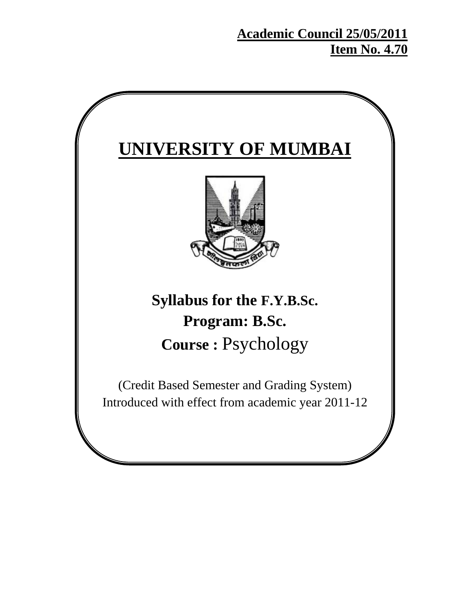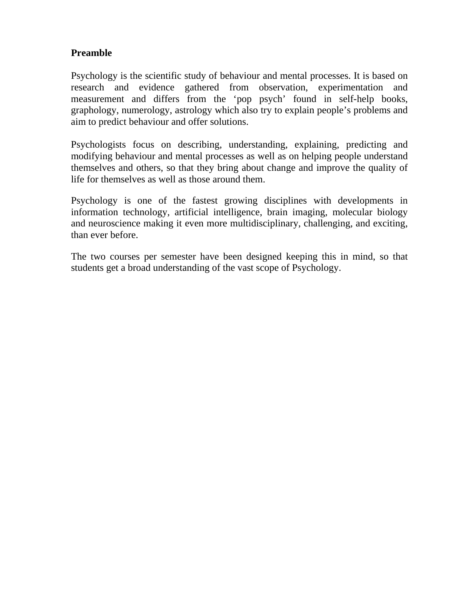## **Preamble**

Psychology is the scientific study of behaviour and mental processes. It is based on research and evidence gathered from observation, experimentation and measurement and differs from the 'pop psych' found in self-help books, graphology, numerology, astrology which also try to explain people's problems and aim to predict behaviour and offer solutions.

Psychologists focus on describing, understanding, explaining, predicting and modifying behaviour and mental processes as well as on helping people understand themselves and others, so that they bring about change and improve the quality of life for themselves as well as those around them.

Psychology is one of the fastest growing disciplines with developments in information technology, artificial intelligence, brain imaging, molecular biology and neuroscience making it even more multidisciplinary, challenging, and exciting, than ever before.

The two courses per semester have been designed keeping this in mind, so that students get a broad understanding of the vast scope of Psychology.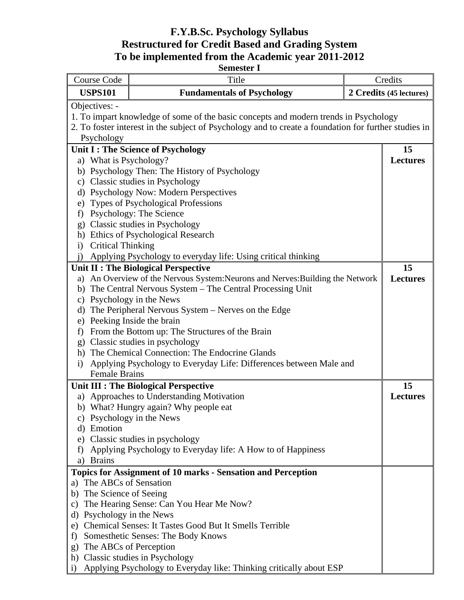# **F.Y.B.Sc. Psychology Syllabus Restructured for Credit Based and Grading System To be implemented from the Academic year 2011-2012**

| <b>Semester I</b>                                                                   |                                                                                                      |                         |  |  |
|-------------------------------------------------------------------------------------|------------------------------------------------------------------------------------------------------|-------------------------|--|--|
| <b>Course Code</b>                                                                  | Title                                                                                                | Credits                 |  |  |
| <b>USPS101</b>                                                                      | <b>Fundamentals of Psychology</b>                                                                    | 2 Credits (45 lectures) |  |  |
| Objectives: -                                                                       |                                                                                                      |                         |  |  |
|                                                                                     | 1. To impart knowledge of some of the basic concepts and modern trends in Psychology                 |                         |  |  |
|                                                                                     | 2. To foster interest in the subject of Psychology and to create a foundation for further studies in |                         |  |  |
| Psychology                                                                          |                                                                                                      |                         |  |  |
|                                                                                     | Unit I : The Science of Psychology                                                                   | 15                      |  |  |
| a) What is Psychology?                                                              |                                                                                                      | <b>Lectures</b>         |  |  |
|                                                                                     | b) Psychology Then: The History of Psychology                                                        |                         |  |  |
|                                                                                     | c) Classic studies in Psychology                                                                     |                         |  |  |
|                                                                                     | d) Psychology Now: Modern Perspectives                                                               |                         |  |  |
| e)                                                                                  | <b>Types of Psychological Professions</b>                                                            |                         |  |  |
| f)                                                                                  | Psychology: The Science                                                                              |                         |  |  |
| g)                                                                                  | Classic studies in Psychology                                                                        |                         |  |  |
| <b>Critical Thinking</b>                                                            | h) Ethics of Psychological Research                                                                  |                         |  |  |
| $\mathbf{i}$                                                                        | Applying Psychology to everyday life: Using critical thinking                                        |                         |  |  |
|                                                                                     | Unit II : The Biological Perspective                                                                 | 15                      |  |  |
| a)                                                                                  | An Overview of the Nervous System: Neurons and Nerves: Building the Network                          | <b>Lectures</b>         |  |  |
| b)                                                                                  | The Central Nervous System – The Central Processing Unit                                             |                         |  |  |
| $\mathbf{c})$                                                                       |                                                                                                      |                         |  |  |
| Psychology in the News<br>The Peripheral Nervous System – Nerves on the Edge<br>d)  |                                                                                                      |                         |  |  |
| e)                                                                                  | Peeking Inside the brain                                                                             |                         |  |  |
| $\mathbf{f}$                                                                        | From the Bottom up: The Structures of the Brain                                                      |                         |  |  |
| $\mathbf{g}$                                                                        | Classic studies in psychology                                                                        |                         |  |  |
|                                                                                     | h) The Chemical Connection: The Endocrine Glands                                                     |                         |  |  |
| i)                                                                                  | Applying Psychology to Everyday Life: Differences between Male and                                   |                         |  |  |
| <b>Female Brains</b>                                                                |                                                                                                      |                         |  |  |
|                                                                                     | Unit III : The Biological Perspective                                                                | 15                      |  |  |
|                                                                                     | a) Approaches to Understanding Motivation                                                            | <b>Lectures</b>         |  |  |
|                                                                                     | b) What? Hungry again? Why people eat                                                                |                         |  |  |
| C)                                                                                  | Psychology in the News                                                                               |                         |  |  |
| Emotion<br>d)                                                                       |                                                                                                      |                         |  |  |
| e)                                                                                  | Classic studies in psychology                                                                        |                         |  |  |
| f)                                                                                  | Applying Psychology to Everyday life: A How to of Happiness                                          |                         |  |  |
| <b>Brains</b><br>a)                                                                 |                                                                                                      |                         |  |  |
|                                                                                     | <b>Topics for Assignment of 10 marks - Sensation and Perception</b>                                  |                         |  |  |
| The ABCs of Sensation<br>a)                                                         |                                                                                                      |                         |  |  |
| The Science of Seeing<br>b)                                                         |                                                                                                      |                         |  |  |
| c)                                                                                  | The Hearing Sense: Can You Hear Me Now?                                                              |                         |  |  |
| Psychology in the News<br>d)                                                        |                                                                                                      |                         |  |  |
| Chemical Senses: It Tastes Good But It Smells Terrible<br>e)                        |                                                                                                      |                         |  |  |
| Somesthetic Senses: The Body Knows<br>f                                             |                                                                                                      |                         |  |  |
| $\mathbf{g}$                                                                        | The ABCs of Perception                                                                               |                         |  |  |
|                                                                                     | h) Classic studies in Psychology                                                                     |                         |  |  |
| Applying Psychology to Everyday like: Thinking critically about ESP<br>$\mathbf{i}$ |                                                                                                      |                         |  |  |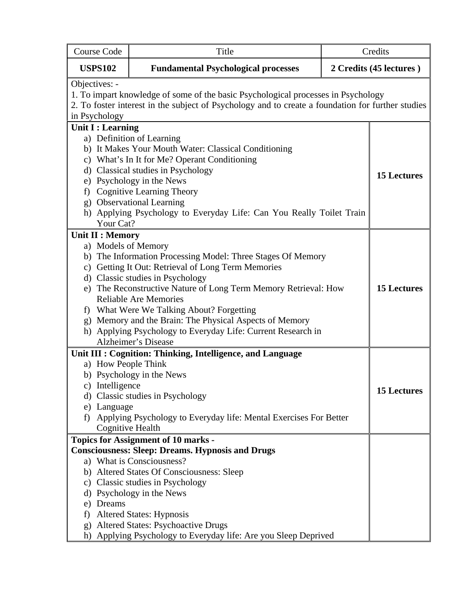| <b>Course Code</b>                                                                                                                                                                                                       | Title                                                                                                                                                                                                                                                                                                                                                                                                                                                          | Credits                 |                    |
|--------------------------------------------------------------------------------------------------------------------------------------------------------------------------------------------------------------------------|----------------------------------------------------------------------------------------------------------------------------------------------------------------------------------------------------------------------------------------------------------------------------------------------------------------------------------------------------------------------------------------------------------------------------------------------------------------|-------------------------|--------------------|
| <b>USPS102</b>                                                                                                                                                                                                           | <b>Fundamental Psychological processes</b>                                                                                                                                                                                                                                                                                                                                                                                                                     | 2 Credits (45 lectures) |                    |
| Objectives: -<br>1. To impart knowledge of some of the basic Psychological processes in Psychology<br>2. To foster interest in the subject of Psychology and to create a foundation for further studies<br>in Psychology |                                                                                                                                                                                                                                                                                                                                                                                                                                                                |                         |                    |
| <b>Unit I: Learning</b>                                                                                                                                                                                                  |                                                                                                                                                                                                                                                                                                                                                                                                                                                                |                         |                    |
| Your Cat?                                                                                                                                                                                                                | a) Definition of Learning<br>b) It Makes Your Mouth Water: Classical Conditioning<br>c) What's In It for Me? Operant Conditioning<br>d) Classical studies in Psychology<br>e) Psychology in the News<br>f) Cognitive Learning Theory<br>g) Observational Learning<br>h) Applying Psychology to Everyday Life: Can You Really Toilet Train                                                                                                                      |                         | <b>15 Lectures</b> |
| <b>Unit II : Memory</b><br>a) Models of Memory                                                                                                                                                                           | b) The Information Processing Model: Three Stages Of Memory<br>c) Getting It Out: Retrieval of Long Term Memories<br>d) Classic studies in Psychology<br>e) The Reconstructive Nature of Long Term Memory Retrieval: How<br><b>Reliable Are Memories</b><br>f) What Were We Talking About? Forgetting<br>g) Memory and the Brain: The Physical Aspects of Memory<br>h) Applying Psychology to Everyday Life: Current Research in<br><b>Alzheimer's Disease</b> |                         | <b>15 Lectures</b> |
| a) How People Think<br>c) Intelligence<br>e) Language<br>f)                                                                                                                                                              | Unit III : Cognition: Thinking, Intelligence, and Language<br>b) Psychology in the News<br>d) Classic studies in Psychology<br>Applying Psychology to Everyday life: Mental Exercises For Better<br>Cognitive Health                                                                                                                                                                                                                                           |                         | <b>15 Lectures</b> |
| e) Dreams<br>f)<br>$\mathbf{g}$<br>h)                                                                                                                                                                                    | <b>Topics for Assignment of 10 marks -</b><br><b>Consciousness: Sleep: Dreams. Hypnosis and Drugs</b><br>a) What is Consciousness?<br>b) Altered States Of Consciousness: Sleep<br>c) Classic studies in Psychology<br>d) Psychology in the News<br><b>Altered States: Hypnosis</b><br><b>Altered States: Psychoactive Drugs</b><br>Applying Psychology to Everyday life: Are you Sleep Deprived                                                               |                         |                    |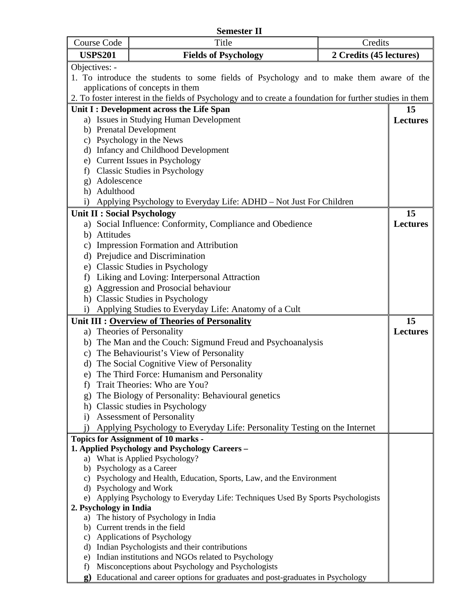|                                                | <b>Semester II</b>                                                                           |                                                                                                          |         |                 |  |
|------------------------------------------------|----------------------------------------------------------------------------------------------|----------------------------------------------------------------------------------------------------------|---------|-----------------|--|
|                                                | <b>Course Code</b>                                                                           | Title                                                                                                    | Credits |                 |  |
|                                                | <b>USPS201</b><br>2 Credits (45 lectures)<br><b>Fields of Psychology</b>                     |                                                                                                          |         |                 |  |
|                                                | Objectives: -                                                                                |                                                                                                          |         |                 |  |
|                                                | 1. To introduce the students to some fields of Psychology and to make them aware of the      |                                                                                                          |         |                 |  |
|                                                | applications of concepts in them                                                             |                                                                                                          |         |                 |  |
|                                                |                                                                                              | 2. To foster interest in the fields of Psychology and to create a foundation for further studies in them |         |                 |  |
|                                                |                                                                                              | Unit I : Development across the Life Span                                                                |         | 15              |  |
|                                                |                                                                                              | a) Issues in Studying Human Development                                                                  |         | <b>Lectures</b> |  |
|                                                |                                                                                              | b) Prenatal Development                                                                                  |         |                 |  |
|                                                |                                                                                              | c) Psychology in the News<br>d) Infancy and Childhood Development                                        |         |                 |  |
| e)                                             |                                                                                              | <b>Current Issues in Psychology</b>                                                                      |         |                 |  |
| f)                                             |                                                                                              | <b>Classic Studies in Psychology</b>                                                                     |         |                 |  |
| $g$ )                                          | Adolescence                                                                                  |                                                                                                          |         |                 |  |
|                                                | h) Adulthood                                                                                 |                                                                                                          |         |                 |  |
| $\mathbf{i}$                                   |                                                                                              | Applying Psychology to Everyday Life: ADHD – Not Just For Children                                       |         |                 |  |
|                                                |                                                                                              | <b>Unit II: Social Psychology</b>                                                                        |         | 15              |  |
|                                                |                                                                                              | a) Social Influence: Conformity, Compliance and Obedience                                                |         | <b>Lectures</b> |  |
|                                                | b) Attitudes                                                                                 |                                                                                                          |         |                 |  |
|                                                |                                                                                              | c) Impression Formation and Attribution                                                                  |         |                 |  |
|                                                |                                                                                              | d) Prejudice and Discrimination                                                                          |         |                 |  |
| e)                                             |                                                                                              | <b>Classic Studies in Psychology</b>                                                                     |         |                 |  |
| f)                                             |                                                                                              | Liking and Loving: Interpersonal Attraction                                                              |         |                 |  |
| g)                                             |                                                                                              | Aggression and Prosocial behaviour                                                                       |         |                 |  |
|                                                |                                                                                              | h) Classic Studies in Psychology                                                                         |         |                 |  |
| $\mathbf{i}$                                   |                                                                                              | Applying Studies to Everyday Life: Anatomy of a Cult                                                     |         |                 |  |
| Unit III : Overview of Theories of Personality |                                                                                              |                                                                                                          |         | 15              |  |
|                                                |                                                                                              | a) Theories of Personality                                                                               |         | <b>Lectures</b> |  |
|                                                |                                                                                              | b) The Man and the Couch: Sigmund Freud and Psychoanalysis                                               |         |                 |  |
|                                                |                                                                                              | c) The Behaviourist's View of Personality                                                                |         |                 |  |
|                                                |                                                                                              | d) The Social Cognitive View of Personality                                                              |         |                 |  |
|                                                |                                                                                              | e) The Third Force: Humanism and Personality                                                             |         |                 |  |
| f)                                             |                                                                                              | Trait Theories: Who are You?                                                                             |         |                 |  |
| g)                                             |                                                                                              | The Biology of Personality: Behavioural genetics                                                         |         |                 |  |
|                                                |                                                                                              | h) Classic studies in Psychology                                                                         |         |                 |  |
| $\mathbf{i}$                                   |                                                                                              | <b>Assessment of Personality</b>                                                                         |         |                 |  |
|                                                |                                                                                              | Applying Psychology to Everyday Life: Personality Testing on the Internet                                |         |                 |  |
|                                                | <b>Topics for Assignment of 10 marks -</b><br>1. Applied Psychology and Psychology Careers - |                                                                                                          |         |                 |  |
|                                                |                                                                                              | a) What is Applied Psychology?                                                                           |         |                 |  |
|                                                |                                                                                              | b) Psychology as a Career                                                                                |         |                 |  |
|                                                |                                                                                              | c) Psychology and Health, Education, Sports, Law, and the Environment                                    |         |                 |  |
|                                                |                                                                                              | d) Psychology and Work                                                                                   |         |                 |  |
|                                                |                                                                                              | Applying Psychology to Everyday Life: Techniques Used By Sports Psychologists                            |         |                 |  |
|                                                | 2. Psychology in India                                                                       |                                                                                                          |         |                 |  |
|                                                |                                                                                              | a) The history of Psychology in India                                                                    |         |                 |  |
|                                                |                                                                                              | b) Current trends in the field                                                                           |         |                 |  |
|                                                |                                                                                              | c) Applications of Psychology<br>d) Indian Psychologists and their contributions                         |         |                 |  |
| e)                                             |                                                                                              | Indian institutions and NGOs related to Psychology                                                       |         |                 |  |
| f)                                             |                                                                                              | Misconceptions about Psychology and Psychologists                                                        |         |                 |  |
| $\mathbf{g}$                                   |                                                                                              | Educational and career options for graduates and post-graduates in Psychology                            |         |                 |  |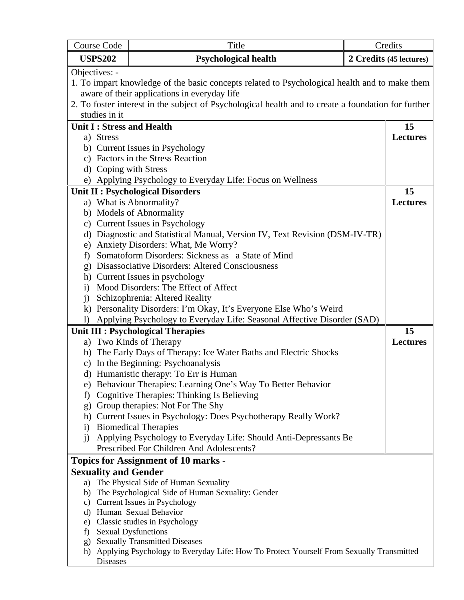| Course Code                                                  | Title<br>Credits                                                                                    |  |                         |  |  |
|--------------------------------------------------------------|-----------------------------------------------------------------------------------------------------|--|-------------------------|--|--|
| <b>USPS202</b>                                               | Psychological health                                                                                |  | 2 Credits (45 lectures) |  |  |
| Objectives: -                                                |                                                                                                     |  |                         |  |  |
|                                                              | 1. To impart knowledge of the basic concepts related to Psychological health and to make them       |  |                         |  |  |
|                                                              | aware of their applications in everyday life                                                        |  |                         |  |  |
|                                                              | 2. To foster interest in the subject of Psychological health and to create a foundation for further |  |                         |  |  |
| studies in it                                                |                                                                                                     |  |                         |  |  |
| Unit I: Stress and Health                                    |                                                                                                     |  | 15                      |  |  |
| a) Stress                                                    |                                                                                                     |  | <b>Lectures</b>         |  |  |
|                                                              | b) Current Issues in Psychology                                                                     |  |                         |  |  |
|                                                              | c) Factors in the Stress Reaction                                                                   |  |                         |  |  |
| d) Coping with Stress                                        |                                                                                                     |  |                         |  |  |
|                                                              | e) Applying Psychology to Everyday Life: Focus on Wellness                                          |  |                         |  |  |
|                                                              | <b>Unit II: Psychological Disorders</b>                                                             |  | 15                      |  |  |
|                                                              | a) What is Abnormality?                                                                             |  | <b>Lectures</b>         |  |  |
|                                                              | b) Models of Abnormality                                                                            |  |                         |  |  |
|                                                              | c) Current Issues in Psychology                                                                     |  |                         |  |  |
|                                                              | d) Diagnostic and Statistical Manual, Version IV, Text Revision (DSM-IV-TR)                         |  |                         |  |  |
| e)                                                           | Anxiety Disorders: What, Me Worry?                                                                  |  |                         |  |  |
| f)                                                           | Somatoform Disorders: Sickness as a State of Mind                                                   |  |                         |  |  |
| g) Disassociative Disorders: Altered Consciousness           |                                                                                                     |  |                         |  |  |
| h) Current Issues in psychology                              |                                                                                                     |  |                         |  |  |
| Mood Disorders: The Effect of Affect<br>$\mathbf{i}$         |                                                                                                     |  |                         |  |  |
| $\mathbf{i}$                                                 | Schizophrenia: Altered Reality                                                                      |  |                         |  |  |
|                                                              | k) Personality Disorders: I'm Okay, It's Everyone Else Who's Weird                                  |  |                         |  |  |
| $\mathbf{I}$                                                 | Applying Psychology to Everyday Life: Seasonal Affective Disorder (SAD)                             |  |                         |  |  |
|                                                              | <b>Unit III : Psychological Therapies</b>                                                           |  | 15                      |  |  |
|                                                              | a) Two Kinds of Therapy                                                                             |  | <b>Lectures</b>         |  |  |
|                                                              | b) The Early Days of Therapy: Ice Water Baths and Electric Shocks                                   |  |                         |  |  |
| $\mathbf{c})$                                                | In the Beginning: Psychoanalysis                                                                    |  |                         |  |  |
|                                                              | d) Humanistic therapy: To Err is Human                                                              |  |                         |  |  |
|                                                              | e) Behaviour Therapies: Learning One's Way To Better Behavior                                       |  |                         |  |  |
| t)                                                           | Cognitive Therapies: Thinking Is Believing                                                          |  |                         |  |  |
|                                                              | g) Group therapies: Not For The Shy                                                                 |  |                         |  |  |
|                                                              | h) Current Issues in Psychology: Does Psychotherapy Really Work?                                    |  |                         |  |  |
| $\rm i)$                                                     | <b>Biomedical Therapies</b>                                                                         |  |                         |  |  |
| $\mathbf{i}$                                                 | Applying Psychology to Everyday Life: Should Anti-Depressants Be                                    |  |                         |  |  |
|                                                              | Prescribed For Children And Adolescents?                                                            |  |                         |  |  |
| <b>Topics for Assignment of 10 marks -</b>                   |                                                                                                     |  |                         |  |  |
| <b>Sexuality and Gender</b>                                  |                                                                                                     |  |                         |  |  |
|                                                              | a) The Physical Side of Human Sexuality                                                             |  |                         |  |  |
| b)                                                           | The Psychological Side of Human Sexuality: Gender                                                   |  |                         |  |  |
|                                                              | c) Current Issues in Psychology                                                                     |  |                         |  |  |
| d) Human Sexual Behavior<br>e) Classic studies in Psychology |                                                                                                     |  |                         |  |  |
| <b>Sexual Dysfunctions</b><br>f                              |                                                                                                     |  |                         |  |  |
|                                                              | g) Sexually Transmitted Diseases                                                                    |  |                         |  |  |
|                                                              | h) Applying Psychology to Everyday Life: How To Protect Yourself From Sexually Transmitted          |  |                         |  |  |
| Diseases                                                     |                                                                                                     |  |                         |  |  |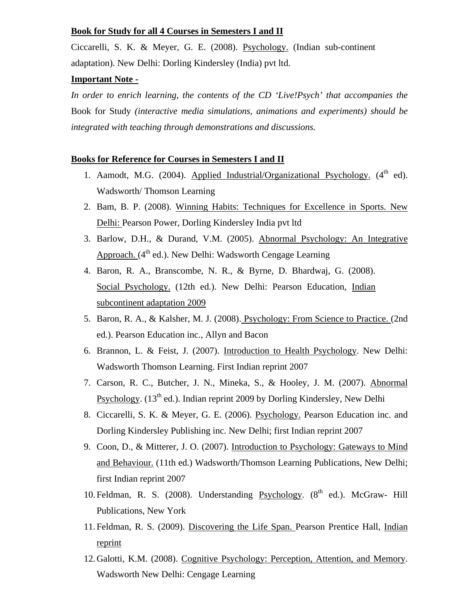#### **Book for Study for all 4 Courses in Semesters I and II**

Ciccarelli, S. K. & Meyer, G. E. (2008). Psychology. (Indian sub-continent adaptation). New Delhi: Dorling Kindersley (India) pvt ltd.

#### **Important Note -**

*In order to enrich learning, the contents of the CD 'Live!Psych' that accompanies the*  Book for Study *(interactive media simulations, animations and experiments) should be integrated with teaching through demonstrations and discussions.* 

#### **Books for Reference for Courses in Semesters I and II**

- 1. Aamodt, M.G. (2004). Applied Industrial/Organizational Psychology.  $(4^{\text{th}} \text{ ed})$ . Wadsworth/ Thomson Learning
- 2. Bam, B. P. (2008). Winning Habits: Techniques for Excellence in Sports. New Delhi: Pearson Power, Dorling Kindersley India pvt ltd
- 3. Barlow, D.H., & Durand, V.M. (2005). Abnormal Psychology: An Integrative Approach.  $(4^{th}$  ed.). New Delhi: Wadsworth Cengage Learning
- 4. Baron, R. A., Branscombe, N. R., & Byrne, D. Bhardwaj, G. (2008). Social Psychology. (12th ed.). New Delhi: Pearson Education, Indian subcontinent adaptation 2009
- 5. Baron, R. A., & Kalsher, M. J. (2008). Psychology: From Science to Practice. (2nd ed.). Pearson Education inc., Allyn and Bacon
- 6. Brannon, L. & Feist, J. (2007). Introduction to Health Psychology. New Delhi: Wadsworth Thomson Learning. First Indian reprint 2007
- 7. Carson, R. C., Butcher, J. N., Mineka, S., & Hooley, J. M. (2007). Abnormal Psychology.  $(13<sup>th</sup>$  ed.). Indian reprint 2009 by Dorling Kindersley, New Delhi
- 8. Ciccarelli, S. K. & Meyer, G. E. (2006). Psychology. Pearson Education inc. and Dorling Kindersley Publishing inc. New Delhi; first Indian reprint 2007
- 9. Coon, D., & Mitterer, J. O. (2007). Introduction to Psychology: Gateways to Mind and Behaviour. (11th ed.) Wadsworth/Thomson Learning Publications, New Delhi; first Indian reprint 2007
- 10. Feldman, R. S. (2008). Understanding Psychology.  $(8<sup>th</sup>$  ed.). McGraw- Hill Publications, New York
- 11.Feldman, R. S. (2009). Discovering the Life Span. Pearson Prentice Hall, Indian reprint
- 12.Galotti, K.M. (2008). Cognitive Psychology: Perception, Attention, and Memory. Wadsworth New Delhi: Cengage Learning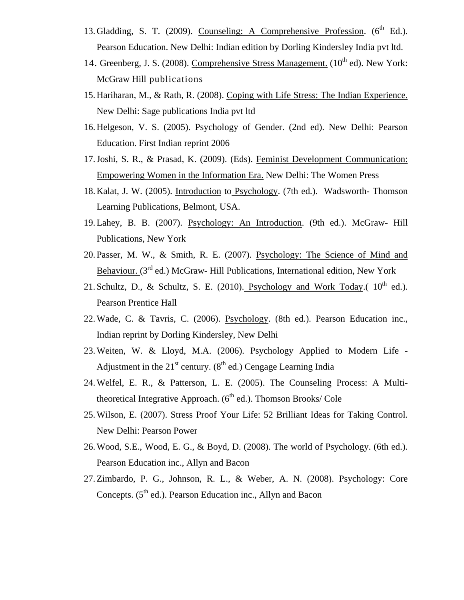- 13. Gladding, S. T. (2009). Counseling: A Comprehensive Profession.  $(6^{th}$  Ed.). Pearson Education. New Delhi: Indian edition by Dorling Kindersley India pvt ltd.
- 14. Greenberg, J. S. (2008). Comprehensive Stress Management.  $(10^{th}$  ed). New York: McGraw Hill publications
- 15.Hariharan, M., & Rath, R. (2008). Coping with Life Stress: The Indian Experience. New Delhi: Sage publications India pvt ltd
- 16.Helgeson, V. S. (2005). Psychology of Gender. (2nd ed). New Delhi: Pearson Education. First Indian reprint 2006
- 17.Joshi, S. R., & Prasad, K. (2009). (Eds). Feminist Development Communication: Empowering Women in the Information Era. New Delhi: The Women Press
- 18.Kalat, J. W. (2005). Introduction to Psychology. (7th ed.). Wadsworth- Thomson Learning Publications, Belmont, USA.
- 19.Lahey, B. B. (2007). Psychology: An Introduction. (9th ed.). McGraw- Hill Publications, New York
- 20.Passer, M. W., & Smith, R. E. (2007). Psychology: The Science of Mind and Behaviour. (3<sup>rd</sup> ed.) McGraw- Hill Publications, International edition, New York
- 21. Schultz, D., & Schultz, S. E. (2010). Psychology and Work Today.( $10^{th}$  ed.). Pearson Prentice Hall
- 22.Wade, C. & Tavris, C. (2006). Psychology. (8th ed.). Pearson Education inc., Indian reprint by Dorling Kindersley, New Delhi
- 23.Weiten, W. & Lloyd, M.A. (2006). Psychology Applied to Modern Life Adjustment in the  $21<sup>st</sup>$  century. ( $8<sup>th</sup>$  ed.) Cengage Learning India
- 24.Welfel, E. R., & Patterson, L. E. (2005). The Counseling Process: A Multitheoretical Integrative Approach.  $(6^{th}$  ed.). Thomson Brooks/ Cole
- 25.Wilson, E. (2007). Stress Proof Your Life: 52 Brilliant Ideas for Taking Control. New Delhi: Pearson Power
- 26.Wood, S.E., Wood, E. G., & Boyd, D. (2008). The world of Psychology. (6th ed.). Pearson Education inc., Allyn and Bacon
- 27.Zimbardo, P. G., Johnson, R. L., & Weber, A. N. (2008). Psychology: Core Concepts.  $(5<sup>th</sup>$  ed.). Pearson Education inc., Allyn and Bacon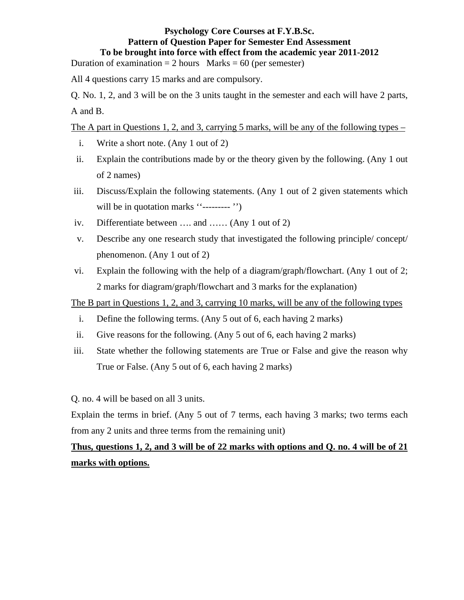## **Psychology Core Courses at F.Y.B.Sc. Pattern of Question Paper for Semester End Assessment To be brought into force with effect from the academic year 2011-2012**

Duration of examination  $= 2$  hours Marks  $= 60$  (per semester)

All 4 questions carry 15 marks and are compulsory.

Q. No. 1, 2, and 3 will be on the 3 units taught in the semester and each will have 2 parts, A and B.

The A part in Questions 1, 2, and 3, carrying 5 marks, will be any of the following types –

- i. Write a short note. (Any 1 out of 2)
- ii. Explain the contributions made by or the theory given by the following. (Any 1 out of 2 names)
- iii. Discuss/Explain the following statements. (Any 1 out of 2 given statements which will be in quotation marks "---------"
- iv. Differentiate between …. and …… (Any 1 out of 2)
- v. Describe any one research study that investigated the following principle/ concept/ phenomenon. (Any 1 out of 2)
- vi. Explain the following with the help of a diagram/graph/flowchart. (Any 1 out of 2; 2 marks for diagram/graph/flowchart and 3 marks for the explanation)

The B part in Questions 1, 2, and 3, carrying 10 marks, will be any of the following types

- i. Define the following terms. (Any 5 out of 6, each having 2 marks)
- ii. Give reasons for the following. (Any 5 out of 6, each having 2 marks)
- iii. State whether the following statements are True or False and give the reason why True or False. (Any 5 out of 6, each having 2 marks)

Q. no. 4 will be based on all 3 units.

Explain the terms in brief. (Any 5 out of 7 terms, each having 3 marks; two terms each from any 2 units and three terms from the remaining unit)

# **Thus, questions 1, 2, and 3 will be of 22 marks with options and Q. no. 4 will be of 21 marks with options.**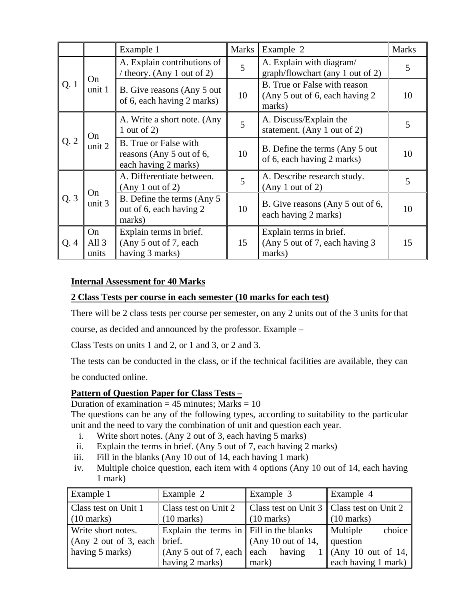|     |                        | Example 1                                                                 | <b>Marks</b>   | Example 2                                                                 | <b>Marks</b> |
|-----|------------------------|---------------------------------------------------------------------------|----------------|---------------------------------------------------------------------------|--------------|
|     |                        | A. Explain contributions of<br>theory. (Any 1 out of 2)                   | 5              | A. Explain with diagram/<br>graph/flowchart (any 1 out of 2)              | 5            |
| Q.1 | On<br>unit 1           | B. Give reasons (Any 5 out)<br>of 6, each having 2 marks)                 | 10             | B. True or False with reason<br>(Any 5 out of 6, each having 2)<br>marks) | 10           |
|     | On                     | A. Write a short note. (Any<br>1 out of 2)                                | $\overline{5}$ | A. Discuss/Explain the<br>statement. (Any 1 out of 2)                     | 5            |
| Q.2 | unit 2                 | B. True or False with<br>reasons (Any 5 out of 6,<br>each having 2 marks) | 10             | B. Define the terms (Any 5 out)<br>of 6, each having 2 marks)             | 10           |
|     | On                     | A. Differentiate between.<br>(Any 1 out of 2)                             | 5              | A. Describe research study.<br>(Any 1 out of 2)                           | 5            |
| Q.3 | unit 3                 | B. Define the terms (Any 5)<br>out of 6, each having 2<br>marks)          | 10             | B. Give reasons (Any 5 out of 6,<br>each having 2 marks)                  | 10           |
| Q.4 | On<br>All $3$<br>units | Explain terms in brief.<br>(Any 5 out of 7, each<br>having 3 marks)       | 15             | Explain terms in brief.<br>(Any 5 out of 7, each having 3<br>marks)       | 15           |

## **Internal Assessment for 40 Marks**

### **2 Class Tests per course in each semester (10 marks for each test)**

There will be 2 class tests per course per semester, on any 2 units out of the 3 units for that

course, as decided and announced by the professor. Example –

Class Tests on units 1 and 2, or 1 and 3, or 2 and 3.

The tests can be conducted in the class, or if the technical facilities are available, they can

be conducted online.

#### **Pattern of Question Paper for Class Tests –**

#### Duration of examination  $= 45$  minutes; Marks  $= 10$

The questions can be any of the following types, according to suitability to the particular unit and the need to vary the combination of unit and question each year.

- i. Write short notes. (Any 2 out of 3, each having 5 marks)
- ii. Explain the terms in brief. (Any 5 out of 7, each having 2 marks)
- iii. Fill in the blanks (Any 10 out of 14, each having 1 mark)
- iv. Multiple choice question, each item with 4 options (Any 10 out of 14, each having 1 mark)

| Example 1                         | Example 2                               | Example 3                                             | Example 4                    |  |
|-----------------------------------|-----------------------------------------|-------------------------------------------------------|------------------------------|--|
| <b>Class test on Unit 1</b>       | Class test on Unit 2                    | Class test on Unit $3 \parallel$ Class test on Unit 2 |                              |  |
| $(10 \text{ marks})$              | $(10 \text{ marks})$                    | $(10 \text{ marks})$                                  | $\vert$ (10 marks)           |  |
| Write short notes.                | Explain the terms in Fill in the blanks |                                                       | choice<br>Multiple           |  |
| $(Any 2 out of 3, each    brief.$ |                                         | (Any 10 out of 14,                                    | question                     |  |
| having 5 marks)                   | (Any 5 out of 7, each $ $ each having   |                                                       | $1 \vert$ (Any 10 out of 14, |  |
|                                   | having 2 marks)                         | mark)                                                 | each having 1 mark)          |  |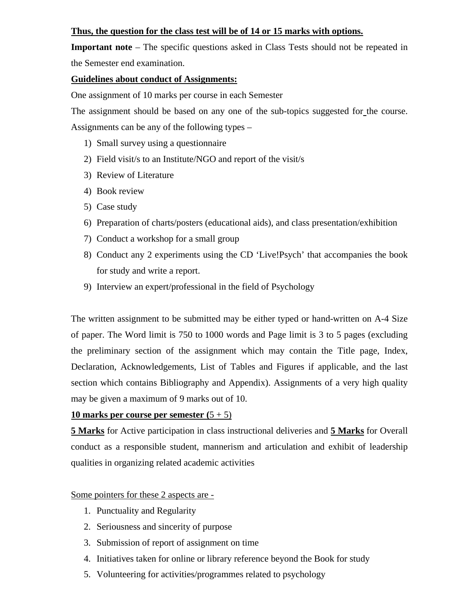#### **Thus, the question for the class test will be of 14 or 15 marks with options.**

**Important note** – The specific questions asked in Class Tests should not be repeated in the Semester end examination.

#### **Guidelines about conduct of Assignments:**

One assignment of 10 marks per course in each Semester

The assignment should be based on any one of the sub-topics suggested for the course. Assignments can be any of the following types –

- 1) Small survey using a questionnaire
- 2) Field visit/s to an Institute/NGO and report of the visit/s
- 3) Review of Literature
- 4) Book review
- 5) Case study
- 6) Preparation of charts/posters (educational aids), and class presentation/exhibition
- 7) Conduct a workshop for a small group
- 8) Conduct any 2 experiments using the CD 'Live!Psych' that accompanies the book for study and write a report.
- 9) Interview an expert/professional in the field of Psychology

The written assignment to be submitted may be either typed or hand-written on A-4 Size of paper. The Word limit is 750 to 1000 words and Page limit is 3 to 5 pages (excluding the preliminary section of the assignment which may contain the Title page, Index, Declaration, Acknowledgements, List of Tables and Figures if applicable, and the last section which contains Bibliography and Appendix). Assignments of a very high quality may be given a maximum of 9 marks out of 10.

#### **10 marks per course per semester (**5 + 5)

**5 Marks** for Active participation in class instructional deliveries and **5 Marks** for Overall conduct as a responsible student, mannerism and articulation and exhibit of leadership qualities in organizing related academic activities

#### Some pointers for these 2 aspects are -

- 1. Punctuality and Regularity
- 2. Seriousness and sincerity of purpose
- 3. Submission of report of assignment on time
- 4. Initiatives taken for online or library reference beyond the Book for study
- 5. Volunteering for activities/programmes related to psychology